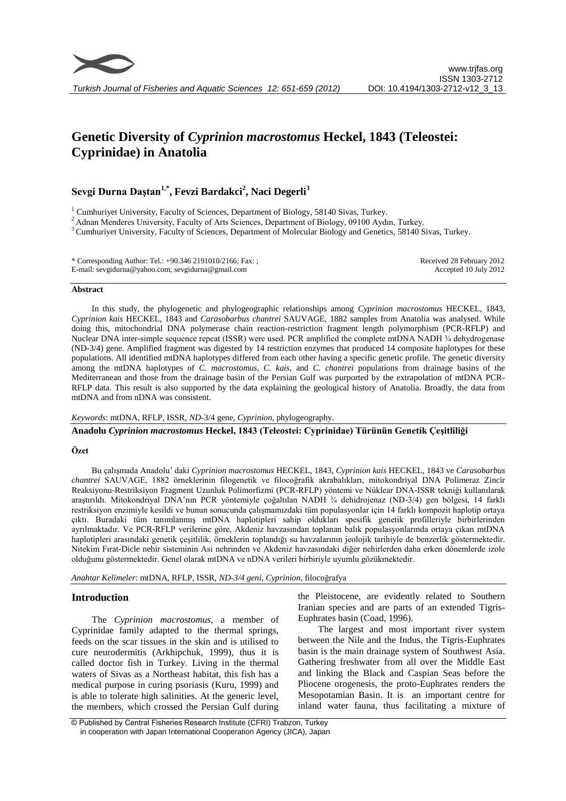

# **Genetic Diversity of** *Cyprinion macrostomus* **Heckel, 1843 (Teleostei: Cyprinidae) in Anatolia**

# **Sevgi Durna Daştan1,\*, Fevzi Bardakci<sup>2</sup> , Naci Degerli<sup>3</sup>**

<sup>1</sup> Cumhurivet University, Faculty of Sciences, Department of Biology, 58140 Sivas, Turkey.

<sup>2</sup> Adnan Menderes University, Faculty of Arts Sciences, Department of Biology, 09100 Aydın, Turkey.

<sup>3</sup> Cumhuriyet University, Faculty of Sciences, Department of Molecular Biology and Genetics, 58140 Sivas, Turkey.

| * Corresponding Author: Tel.: $+90.3462191010/2166$ ; Fax: ; | Received 28 February 2012 |
|--------------------------------------------------------------|---------------------------|
| E-mail: sevgidurna@yahoo.com; sevgidurna@gmail.com           | Accepted 10 July 2012     |

#### **Abstract**

In this study, the phylogenetic and phylogeographic relationships among *Cyprinion macrostomus* HECKEL, 1843, *Cyprinion kais* HECKEL, 1843 and *Carasobarbus chantrei* SAUVAGE, 1882 samples from Anatolia was analysed. While doing this, mitochondrial DNA polymerase chain reaction-restriction fragment length polymorphism (PCR-RFLP) and Nuclear DNA inter-simple sequence repeat (ISSR) were used. PCR amplified the complete mtDNA NADH ¼ dehydrogenase (ND-3/4) gene. Amplified fragment was digested by 14 restriction enzymes that produced 14 composite haplotypes for these populations. All identified mtDNA haplotypes differed from each other having a specific genetic profile. The genetic diversity among the mtDNA haplotypes of *C. macrostomus*, *C. kais*, and *C. chantrei* populations from drainage basins of the Mediterranean and those from the drainage basin of the Persian Gulf was purported by the extrapolation of mtDNA PCR-RFLP data. This result is also supported by the data explaining the geological history of Anatolia. Broadly, the data from mtDNA and from nDNA was consistent.

# *Keywords*: mtDNA, RFLP, ISSR, *ND*-3/4 gene, *Cyprinion*, phylogeography.

**Anadolu** *Cyprinion macrostomus* **Heckel, 1843 (Teleostei: Cyprinidae) Türünün Genetik Çeşitliliği**

# **Özet**

Bu çalışmada Anadolu' daki *Cyprinion macrostomus* HECKEL, 1843, *Cyprinion kais* HECKEL, 1843 ve *Carasobarbus chantrei* SAUVAGE, 1882 örneklerinin filogenetik ve filocoğrafik akrabalıkları, mitokondriyal DNA Polimeraz Zincir Reaksiyonu-Restriksiyon Fragment Uzunluk Polimorfizmi (PCR-RFLP) yöntemi ve Nüklear DNA-ISSR tekniği kullanılarak araştırıldı. Mitokondriyal DNA'nın PCR yöntemiyle çoğaltılan NADH ¾ dehidrojenaz (ND-3/4) gen bölgesi, 14 farklı restriksiyon enzimiyle kesildi ve bunun sonucunda çalışmamızdaki tüm populasyonlar için 14 farklı kompozit haplotip ortaya çıktı. Buradaki tüm tanımlanmış mtDNA haplotipleri sahip oldukları spesifik genetik profilleriyle birbirlerinden ayrılmaktadır. Ve PCR-RFLP verilerine göre, Akdeniz havzasından toplanan balık populasyonlarında ortaya çıkan mtDNA haplotipleri arasındaki genetik çeşitlilik, örneklerin toplandığı su havzalarının jeolojik tarihiyle de benzerlik göstermektedir. Nitekim Fırat-Dicle nehir sisteminin Asi nehrinden ve Akdeniz havzasındaki diğer nehirlerden daha erken dönemlerde izole olduğunu göstermektedir. Genel olarak mtDNA ve nDNA verileri birbiriyle uyumlu gözükmektedir.

*Anahtar Kelimeler*: mtDNA, RFLP, ISSR, *ND-3/4 geni*, *Cyprinion*, filocoğrafya

# **Introduction**

The *Cyprinion macrostomus*, a member of Cyprinidae family adapted to the thermal springs, feeds on the scar tissues in the skin and is utilised to cure neurodermitis (Arkhipchuk, 1999), thus it is called doctor fish in Turkey. Living in the thermal waters of Sivas as a Northeast habitat, this fish has a medical purpose in curing psoriasis (Kuru, 1999) and is able to tolerate high salinities. At the generic level, the members, which crossed the Persian Gulf during

the Pleistocene, are evidently related to Southern Iranian species and are parts of an extended Tigris-Euphrates basin (Coad, 1996).

The largest and most important river system between the Nile and the Indus, the Tigris-Euphrates basin is the main drainage system of Southwest Asia. Gathering freshwater from all over the Middle East and linking the Black and Caspian Seas before the Pliocene orogenesis, the proto-Euphrates renders the Mesopotamian Basin. It is an important centre for inland water fauna, thus facilitating a mixture of

<sup>©</sup> Published by Central Fisheries Research Institute (CFRI) Trabzon, Turkey in cooperation with Japan International Cooperation Agency (JICA), Japan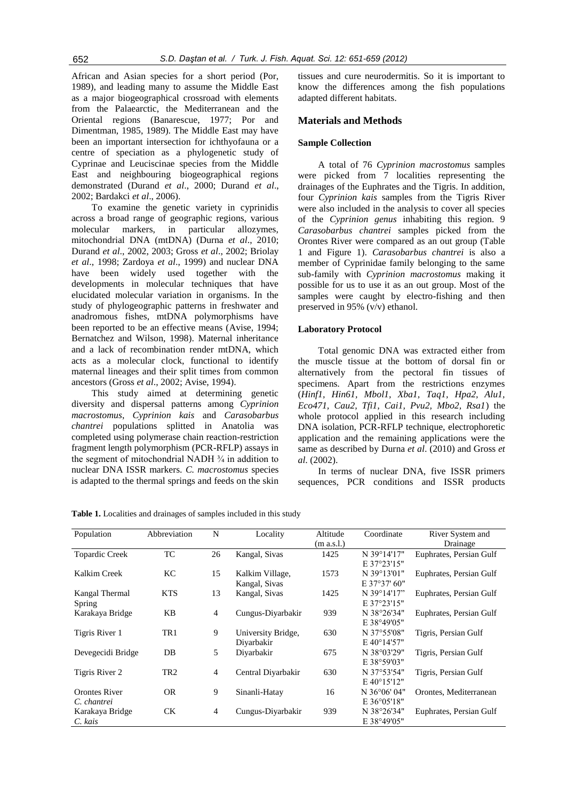African and Asian species for a short period (Por, 1989), and leading many to assume the Middle East as a major biogeographical crossroad with elements from the Palaearctic, the Mediterranean and the Oriental regions (Banarescue, 1977; Por and Dimentman, 1985, 1989). The Middle East may have been an important intersection for ichthyofauna or a centre of speciation as a phylogenetic study of Cyprinae and Leuciscinae species from the Middle East and neighbouring biogeographical regions demonstrated (Durand *et al*., 2000; Durand *et al*., 2002; Bardakci *et al*., 2006).

To examine the genetic variety in cyprinidis across a broad range of geographic regions, various molecular markers, in particular allozymes, mitochondrial DNA (mtDNA) (Durna *et al*., 2010; Durand *et al*., 2002, 2003; Gross *et al*., 2002; Briolay *et al*., 1998; Zardoya *et al*., 1999) and nuclear DNA have been widely used together with the developments in molecular techniques that have elucidated molecular variation in organisms. In the study of phylogeographic patterns in freshwater and anadromous fishes, mtDNA polymorphisms have been reported to be an effective means (Avise, 1994; Bernatchez and Wilson, 1998). Maternal inheritance and a lack of recombination render mtDNA, which acts as a molecular clock, functional to identify maternal lineages and their split times from common ancestors (Gross *et al*., 2002; Avise, 1994).

This study aimed at determining genetic diversity and dispersal patterns among *Cyprinion macrostomus*, *Cyprinion kais* and *Carasobarbus chantrei* populations splitted in Anatolia was completed using polymerase chain reaction-restriction fragment length polymorphism (PCR-RFLP) assays in the segment of mitochondrial NADH  $\frac{3}{4}$  in addition to nuclear DNA ISSR markers. *C. macrostomus* species is adapted to the thermal springs and feeds on the skin tissues and cure neurodermitis. So it is important to know the differences among the fish populations adapted different habitats.

# **Materials and Methods**

#### **Sample Collection**

A total of 76 *Cyprinion macrostomus* samples were picked from 7 localities representing the drainages of the Euphrates and the Tigris. In addition, four *Cyprinion kais* samples from the Tigris River were also included in the analysis to cover all species of the *Cyprinion genus* inhabiting this region. 9 *Carasobarbus chantrei* samples picked from the Orontes River were compared as an out group (Table 1 and Figure 1). *Carasobarbus chantrei* is also a member of Cyprinidae family belonging to the same sub-family with *Cyprinion macrostomus* making it possible for us to use it as an out group. Most of the samples were caught by electro-fishing and then preserved in 95% (v/v) ethanol.

#### **Laboratory Protocol**

Total genomic DNA was extracted either from the muscle tissue at the bottom of dorsal fin or alternatively from the pectoral fin tissues of specimens. Apart from the restrictions enzymes (*Hinf1, Hin61, Mbol1, Xba1, Taq1, Hpa2, Alu1, Eco471, Cau2, Tfi1, Cai1, Pvu2, Mbo2, Rsa1*) the whole protocol applied in this research including DNA isolation, PCR-RFLP technique, electrophoretic application and the remaining applications were the same as described by Durna *et al*. (2010) and Gross *et al*. (2002).

In terms of nuclear DNA, five ISSR primers sequences, PCR conditions and ISSR products

| Population            | Abbreviation    | N              | Locality           | Altitude   | Coordinate           | River System and        |
|-----------------------|-----------------|----------------|--------------------|------------|----------------------|-------------------------|
|                       |                 |                |                    | (m a.s.l.) |                      | Drainage                |
| <b>Topardic Creek</b> | TC              | 26             | Kangal, Sivas      | 1425       | N 39°14'17"          | Euphrates, Persian Gulf |
|                       |                 |                |                    |            | $E$ 37°23'15"        |                         |
| Kalkim Creek          | KС              | 15             | Kalkim Village,    | 1573       | N 39°13'01"          | Euphrates, Persian Gulf |
|                       |                 |                | Kangal, Sivas      |            | E 37°37' 60"         |                         |
| Kangal Thermal        | <b>KTS</b>      | 13             | Kangal, Sivas      | 1425       | N 39°14'17"          | Euphrates, Persian Gulf |
| <b>Spring</b>         |                 |                |                    |            | E 37°23'15"          |                         |
| Karakaya Bridge       | KB              | $\overline{4}$ | Cungus-Diyarbakir  | 939        | N 38°26'34"          | Euphrates, Persian Gulf |
|                       |                 |                |                    |            | $E$ 38°49'05"        |                         |
| Tigris River 1        | TR <sub>1</sub> | 9              | University Bridge, | 630        | N 37°55'08"          | Tigris, Persian Gulf    |
|                       |                 |                | Divarbakir         |            | $E$ 40°14'57"        |                         |
| Devegecidi Bridge     | DB              | 5              | Divarbakir         | 675        | N 38°03'29"          | Tigris, Persian Gulf    |
|                       |                 |                |                    |            | E 38°59'03"          |                         |
| Tigris River 2        | TR <sub>2</sub> | $\overline{4}$ | Central Divarbakir | 630        | N 37°53'54"          | Tigris, Persian Gulf    |
|                       |                 |                |                    |            | $E 40^{\circ}15'12"$ |                         |
| <b>Orontes River</b>  | <b>OR</b>       | 9              | Sinanli-Hatay      | 16         | N 36°06' 04"         | Orontes, Mediterranean  |
| C. chantrei           |                 |                |                    |            | $E 36^{\circ}05'18"$ |                         |
| Karakaya Bridge       | CK.             | $\overline{4}$ | Cungus-Diyarbakir  | 939        | N 38°26'34"          | Euphrates, Persian Gulf |
| C. kais               |                 |                |                    |            | E 38°49'05"          |                         |

**Table 1.** Localities and drainages of samples included in this study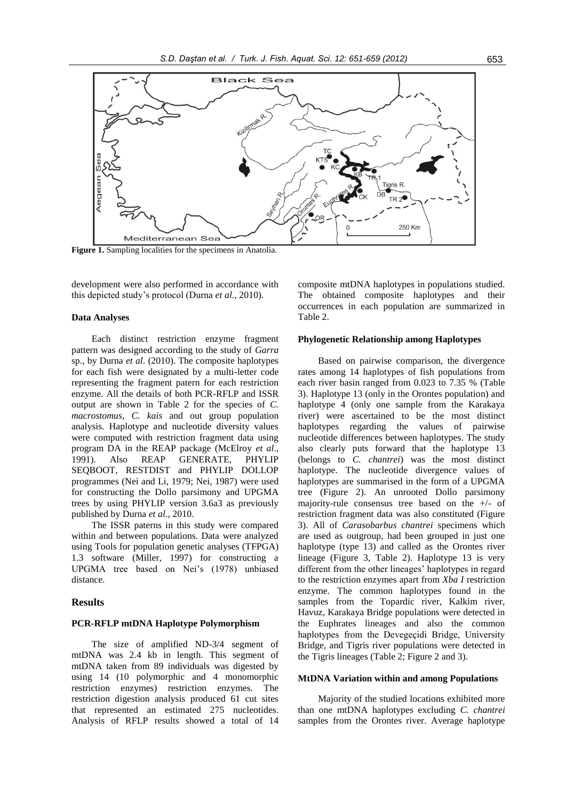

**Figure 1.** Sampling localities for the specimens in Anatolia.

development were also performed in accordance with this depicted study's protocol (Durna *et al*., 2010).

#### **Data Analyses**

Each distinct restriction enzyme fragment pattern was designed according to the study of *Garra*  sp., by Durna *et al*. (2010). The composite haplotypes for each fish were designated by a multi-letter code representing the fragment patern for each restriction enzyme. All the details of both PCR-RFLP and ISSR output are shown in Table 2 for the species of *C. macrostomus*, *C. kais* and out group population analysis. Haplotype and nucleotide diversity values were computed with restriction fragment data using program DA in the REAP package (McElroy *et al*., 1991). Also REAP GENERATE, PHYLIP SEQBOOT, RESTDIST and PHYLIP DOLLOP programmes (Nei and Li, 1979; Nei, 1987) were used for constructing the Dollo parsimony and UPGMA trees by using PHYLIP version 3.6a3 as previously published by Durna *et al*., 2010.

The ISSR paterns in this study were compared within and between populations. Data were analyzed using Tools for population genetic analyses (TFPGA) 1.3 software (Miller, 1997) for constructing a UPGMA tree based on Nei's (1978) unbiased distance.

## **Results**

#### **PCR-RFLP mtDNA Haplotype Polymorphism**

The size of amplified ND-3/4 segment of mtDNA was 2.4 kb in length. This segment of mtDNA taken from 89 individuals was digested by using 14 (10 polymorphic and 4 monomorphic restriction enzymes) restriction enzymes. The restriction digestion analysis produced 61 cut sites that represented an estimated 275 nucleotides. Analysis of RFLP results showed a total of 14 composite mtDNA haplotypes in populations studied. The obtained composite haplotypes and their occurrences in each population are summarized in Table 2.

# **Phylogenetic Relationship among Haplotypes**

Based on pairwise comparison, the divergence rates among 14 haplotypes of fish populations from each river basin ranged from 0.023 to 7.35 % (Table 3). Haplotype 13 (only in the Orontes population) and haplotype 4 (only one sample from the Karakaya river) were ascertained to be the most distinct haplotypes regarding the values of pairwise nucleotide differences between haplotypes. The study also clearly puts forward that the haplotype 13 (belongs to *C. chantrei*) was the most distinct haplotype. The nucleotide divergence values of haplotypes are summarised in the form of a UPGMA tree (Figure 2). An unrooted Dollo parsimony majority-rule consensus tree based on the +/- of restriction fragment data was also constituted (Figure 3). All of *Carasobarbus chantrei* specimens which are used as outgroup, had been grouped in just one haplotype (type 13) and called as the Orontes river lineage (Figure 3, Table 2). Haplotype 13 is very different from the other lineages' haplotypes in regard to the restriction enzymes apart from *Xba I* restriction enzyme. The common haplotypes found in the samples from the Topardic river, Kalkim river, Havuz, Karakaya Bridge populations were detected in the Euphrates lineages and also the common haplotypes from the Devegeçidi Bridge, University Bridge, and Tigris river populations were detected in the Tigris lineages (Table 2; Figure 2 and 3).

#### **MtDNA Variation within and among Populations**

Majority of the studied locations exhibited more than one mtDNA haplotypes excluding *C. chantrei* samples from the Orontes river. Average haplotype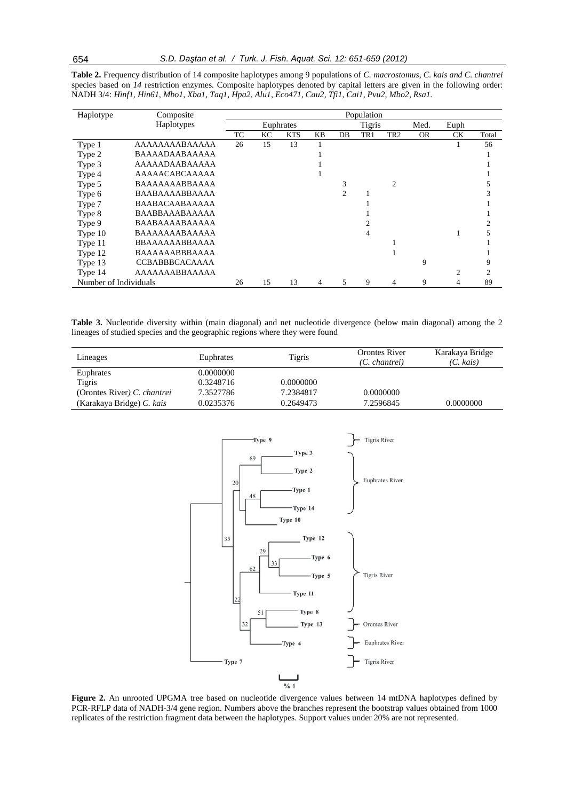| Table 2. Frequency distribution of 14 composite haplotypes among 9 populations of C. macrostomus, C. kais and C. chantrei  |  |
|----------------------------------------------------------------------------------------------------------------------------|--|
| species based on 14 restriction enzymes. Composite haplotypes denoted by capital letters are given in the following order: |  |
| NADH 3/4: Hinfl, Hin6l, Mbol, Xbal, Taql, Hpa2, Alul, Eco47l, Cau2, Tfil, Cail, Pvu2, Mbo2, Rsal.                          |  |

| Haplotype             | Composite             | Population |    |            |    |                |     |     |           |                |       |
|-----------------------|-----------------------|------------|----|------------|----|----------------|-----|-----|-----------|----------------|-------|
|                       | Haplotypes            | Euphrates  |    |            |    | <b>Tigris</b>  |     |     | Med.      | Euph           |       |
|                       |                       | TC         | KС | <b>KTS</b> | KB | DB             | TR1 | TR2 | <b>OR</b> | СK             | Total |
| Type 1                | AAAAAAAABAAAAA        | 26         | 15 | 13         |    |                |     |     |           |                | 56    |
| Type 2                | BAAAADAABAAAAA        |            |    |            |    |                |     |     |           |                |       |
| Type 3                | AAAAADAABAAAAA        |            |    |            |    |                |     |     |           |                |       |
| Type 4                | AAAAACABCAAAAA        |            |    |            |    |                |     |     |           |                |       |
| Type 5                | BAAAAAAABBAAAA        |            |    |            |    | 3              |     | 2   |           |                |       |
| Type 6                | BAABAAAABBAAAA        |            |    |            |    | $\mathfrak{D}$ |     |     |           |                |       |
| Type 7                | <b>BAABACAABAAAAA</b> |            |    |            |    |                |     |     |           |                |       |
| Type 8                | <b>BAABBAAABAAAAA</b> |            |    |            |    |                |     |     |           |                |       |
| Type 9                | BAABAAAABAAAAA        |            |    |            |    |                |     |     |           |                |       |
| Type 10               | BAAAAAAABAAAAA        |            |    |            |    |                | 4   |     |           |                |       |
| Type 11               | <b>BBAAAAAABBAAAA</b> |            |    |            |    |                |     |     |           |                |       |
| Type 12               | <b>BAAAAAABBBAAAA</b> |            |    |            |    |                |     |     |           |                |       |
| Type 13               | <b>CCBABBBCACAAAA</b> |            |    |            |    |                |     |     | 9         |                | 9     |
| Type 14               | AAAAAAABBAAAAA        |            |    |            |    |                |     |     |           | $\overline{c}$ | 2     |
| Number of Individuals |                       | 26         | 15 | 13         | 4  | 5              | 9   | 4   | 9         | 4              | 89    |

**Table 3.** Nucleotide diversity within (main diagonal) and net nucleotide divergence (below main diagonal) among the 2 lineages of studied species and the geographic regions where they were found

| Lineages                    | Euphrates | Tigris    | <b>Orontes River</b><br>$(C.$ chantrei) | Karakaya Bridge<br>(C. kais) |
|-----------------------------|-----------|-----------|-----------------------------------------|------------------------------|
| Euphrates                   | 0.0000000 |           |                                         |                              |
| Tigris                      | 0.3248716 | 0.0000000 |                                         |                              |
| (Orontes River) C. chantrei | 7.3527786 | 7.2384817 | 0.0000000                               |                              |
| (Karakaya Bridge) C. kais   | 0.0235376 | 0.2649473 | 7.2596845                               | 0.0000000                    |



**Figure 2.** An unrooted UPGMA tree based on nucleotide divergence values between 14 mtDNA haplotypes defined by PCR-RFLP data of NADH-3/4 gene region. Numbers above the branches represent the bootstrap values obtained from 1000 replicates of the restriction fragment data between the haplotypes. Support values under 20% are not represented.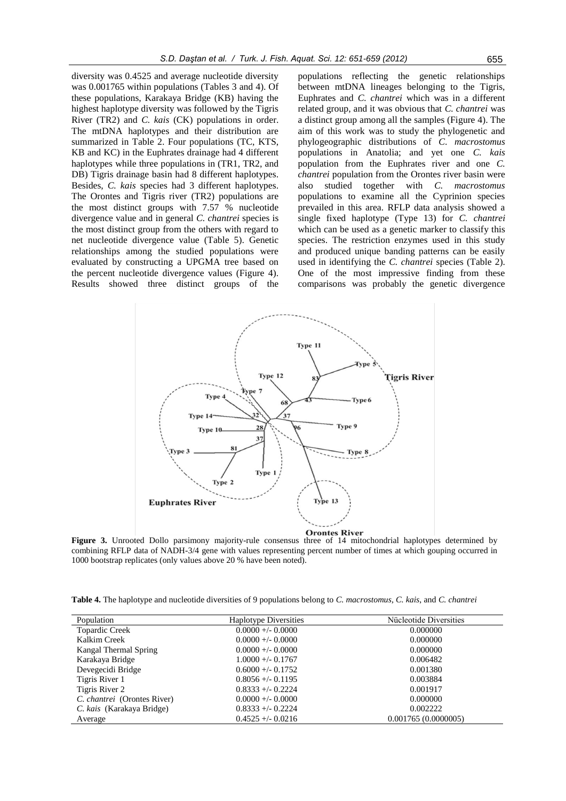diversity was 0.4525 and average nucleotide diversity was 0.001765 within populations (Tables 3 and 4). Of these populations, Karakaya Bridge (KB) having the highest haplotype diversity was followed by the Tigris River (TR2) and *C. kais* (CK) populations in order. The mtDNA haplotypes and their distribution are summarized in Table 2. Four populations (TC, KTS, KB and KC) in the Euphrates drainage had 4 different haplotypes while three populations in (TR1, TR2, and DB) Tigris drainage basin had 8 different haplotypes. Besides, *C. kais* species had 3 different haplotypes. The Orontes and Tigris river (TR2) populations are the most distinct groups with 7.57 % nucleotide divergence value and in general *C. chantrei* species is the most distinct group from the others with regard to net nucleotide divergence value (Table 5). Genetic relationships among the studied populations were evaluated by constructing a UPGMA tree based on the percent nucleotide divergence values (Figure 4). Results showed three distinct groups of the

populations reflecting the genetic relationships between mtDNA lineages belonging to the Tigris, Euphrates and *C. chantrei* which was in a different related group, and it was obvious that *C. chantrei* was a distinct group among all the samples (Figure 4). The aim of this work was to study the phylogenetic and phylogeographic distributions of *C*. *macrostomus* populations in Anatolia; and yet one *C. kais* population from the Euphrates river and one *C. chantrei* population from the Orontes river basin were also studied together with *C. macrostomus* populations to examine all the Cyprinion species prevailed in this area. RFLP data analysis showed a single fixed haplotype (Type 13) for *C. chantrei* which can be used as a genetic marker to classify this species. The restriction enzymes used in this study and produced unique banding patterns can be easily used in identifying the *C. chantrei* species (Table 2). One of the most impressive finding from these comparisons was probably the genetic divergence



**Figure 3.** Unrooted Dollo parsimony majority-rule consensus three of 14 mitochondrial haplotypes determined by combining RFLP data of NADH-3/4 gene with values representing percent number of times at which gouping occurred in 1000 bootstrap replicates (only values above 20 % have been noted).

**Table 4.** The haplotype and nucleotide diversities of 9 populations belong to *C. macrostomus, C. kais*, and *C. chantrei*

| Population                  | <b>Haplotype Diversities</b> | Nücleotide Diversities |
|-----------------------------|------------------------------|------------------------|
| <b>Topardic Creek</b>       | $0.0000 +/- 0.0000$          | 0.000000               |
| Kalkim Creek                | $0.0000 +/- 0.0000$          | 0.000000               |
| Kangal Thermal Spring       | $0.0000 +/- 0.0000$          | 0.000000               |
| Karakaya Bridge             | $1.0000 +/- 0.1767$          | 0.006482               |
| Devegecidi Bridge           | $0.6000 + (-0.1752)$         | 0.001380               |
| Tigris River 1              | $0.8056 + (-0.1195$          | 0.003884               |
| Tigris River 2              | $0.8333 + 0.2224$            | 0.001917               |
| C. chantrei (Orontes River) | $0.0000 +/- 0.0000$          | 0.000000               |
| C. kais (Karakaya Bridge)   | $0.8333 + 0.2224$            | 0.002222               |
| Average                     | $0.4525 + (-0.0216)$         | 0.001765(0.0000005)    |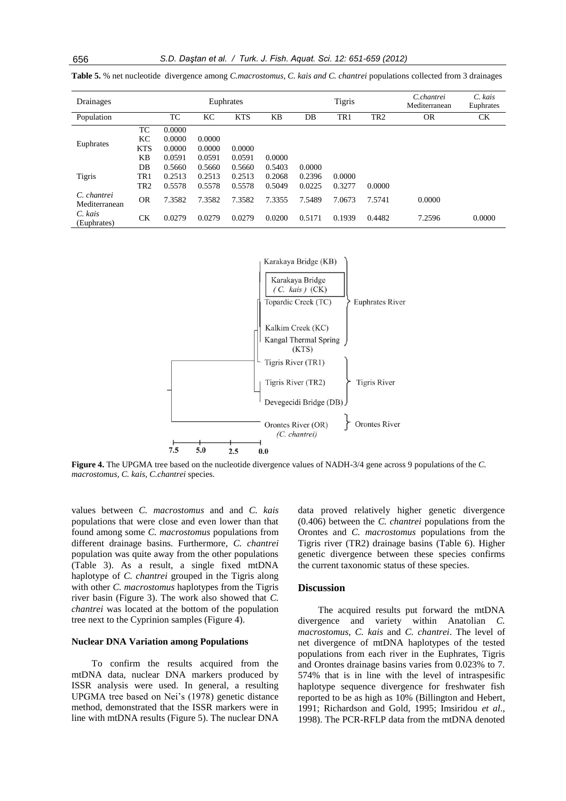| Drainages                    |                 |        |        | Tigris<br>Euphrates |        |        | C.chantrei<br>Mediterranean | C. kais<br>Euphrates |           |        |
|------------------------------|-----------------|--------|--------|---------------------|--------|--------|-----------------------------|----------------------|-----------|--------|
| Population                   |                 | TC     | KС     | <b>KTS</b>          | KB     | DB     | TR <sub>1</sub>             | TR <sub>2</sub>      | <b>OR</b> | СK     |
|                              | TC              | 0.0000 |        |                     |        |        |                             |                      |           |        |
| Euphrates                    | KC              | 0.0000 | 0.0000 |                     |        |        |                             |                      |           |        |
|                              | <b>KTS</b>      | 0.0000 | 0.0000 | 0.0000              |        |        |                             |                      |           |        |
|                              | KB              | 0.0591 | 0.0591 | 0.0591              | 0.0000 |        |                             |                      |           |        |
|                              | DB              | 0.5660 | 0.5660 | 0.5660              | 0.5403 | 0.0000 |                             |                      |           |        |
| Tigris                       | TR1             | 0.2513 | 0.2513 | 0.2513              | 0.2068 | 0.2396 | 0.0000                      |                      |           |        |
|                              | TR <sub>2</sub> | 0.5578 | 0.5578 | 0.5578              | 0.5049 | 0.0225 | 0.3277                      | 0.0000               |           |        |
| C. chantrei<br>Mediterranean | <b>OR</b>       | 7.3582 | 7.3582 | 7.3582              | 7.3355 | 7.5489 | 7.0673                      | 7.5741               | 0.0000    |        |
| C. kais<br>(Euphrates)       | <b>CK</b>       | 0.0279 | 0.0279 | 0.0279              | 0.0200 | 0.5171 | 0.1939                      | 0.4482               | 7.2596    | 0.0000 |

**Table 5.** % net nucleotide divergence among *C.macrostomus, C. kais and C. chantrei* populations collected from 3 drainages



**Figure 4.** The UPGMA tree based on the nucleotide divergence values of NADH-3/4 gene across 9 populations of the *C. macrostomus, C. kais*, *C.chantrei* species.

values between *C. macrostomus* and and *C. kais* populations that were close and even lower than that found among some *C. macrostomus* populations from different drainage basins. Furthermore, *C. chantrei* population was quite away from the other populations (Table 3). As a result, a single fixed mtDNA haplotype of *C. chantrei* grouped in the Tigris along with other *C. macrostomus* haplotypes from the Tigris river basin (Figure 3). The work also showed that *C. chantrei* was located at the bottom of the population tree next to the Cyprinion samples (Figure 4).

## **Nuclear DNA Variation among Populations**

To confirm the results acquired from the mtDNA data, nuclear DNA markers produced by ISSR analysis were used. In general, a resulting UPGMA tree based on Nei's (1978) genetic distance method, demonstrated that the ISSR markers were in line with mtDNA results (Figure 5). The nuclear DNA

data proved relatively higher genetic divergence (0.406) between the *C. chantrei* populations from the Orontes and *C. macrostomus* populations from the Tigris river (TR2) drainage basins (Table 6). Higher genetic divergence between these species confirms the current taxonomic status of these species.

# **Discussion**

The acquired results put forward the mtDNA divergence and variety within Anatolian *C. macrostomus*, *C. kais* and *C. chantrei*. The level of net divergence of mtDNA haplotypes of the tested populations from each river in the Euphrates, Tigris and Orontes drainage basins varies from 0.023% to 7. 574% that is in line with the level of intraspesific haplotype sequence divergence for freshwater fish reported to be as high as 10% (Billington and Hebert, 1991; Richardson and Gold, 1995; Imsiridou *et al*., 1998). The PCR-RFLP data from the mtDNA denoted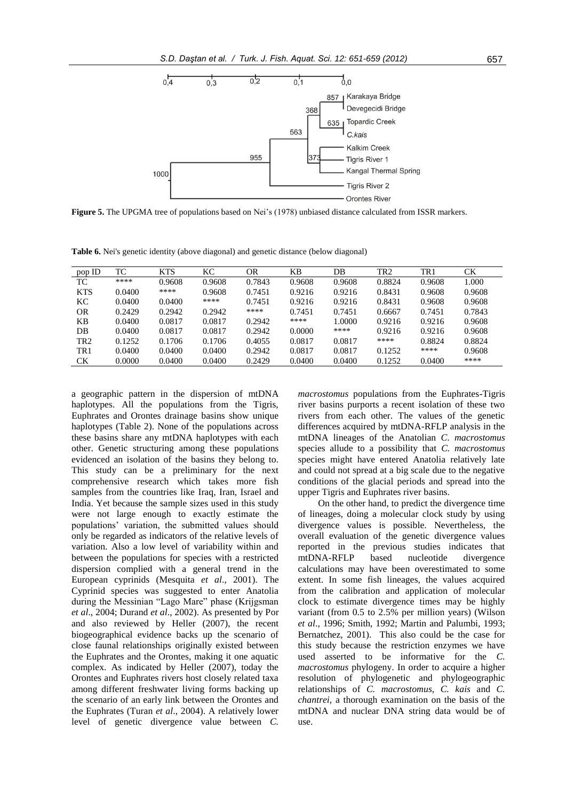

**Figure 5.** The UPGMA tree of populations based on Nei's (1978) unbiased distance calculated from ISSR markers.

**Table 6.** Nei's genetic identity (above diagonal) and genetic distance (below diagonal)

| pop ID          | TC     | <b>KTS</b> | KС     | OR     | KΒ     | DB     | TR <sub>2</sub> | TR1    | СK     |
|-----------------|--------|------------|--------|--------|--------|--------|-----------------|--------|--------|
| TC              | ****   | 0.9608     | 0.9608 | 0.7843 | 0.9608 | 0.9608 | 0.8824          | 0.9608 | 1.000  |
| <b>KTS</b>      | 0.0400 | ****       | 0.9608 | 0.7451 | 0.9216 | 0.9216 | 0.8431          | 0.9608 | 0.9608 |
| KС              | 0.0400 | 0.0400     | ****   | 0.7451 | 0.9216 | 0.9216 | 0.8431          | 0.9608 | 0.9608 |
| OR              | 0.2429 | 0.2942     | 0.2942 | ****   | 0.7451 | 0.7451 | 0.6667          | 0.7451 | 0.7843 |
| KВ              | 0.0400 | 0.0817     | 0.0817 | 0.2942 | ****   | 1.0000 | 0.9216          | 0.9216 | 0.9608 |
| DB              | 0.0400 | 0.0817     | 0.0817 | 0.2942 | 0.0000 | ****   | 0.9216          | 0.9216 | 0.9608 |
| TR <sub>2</sub> | 0.1252 | 0.1706     | 0.1706 | 0.4055 | 0.0817 | 0.0817 | ****            | 0.8824 | 0.8824 |
| TR <sub>1</sub> | 0.0400 | 0.0400     | 0.0400 | 0.2942 | 0.0817 | 0.0817 | 0.1252          | ****   | 0.9608 |
| CK              | 0.0000 | 0.0400     | 0.0400 | 0.2429 | 0.0400 | 0.0400 | 0.1252          | 0.0400 | ****   |
|                 |        |            |        |        |        |        |                 |        |        |

a geographic pattern in the dispersion of mtDNA haplotypes. All the populations from the Tigris, Euphrates and Orontes drainage basins show unique haplotypes (Table 2). None of the populations across these basins share any mtDNA haplotypes with each other. Genetic structuring among these populations evidenced an isolation of the basins they belong to. This study can be a preliminary for the next comprehensive research which takes more fish samples from the countries like Iraq, Iran, Israel and India. Yet because the sample sizes used in this study were not large enough to exactly estimate the populations' variation, the submitted values should only be regarded as indicators of the relative levels of variation. Also a low level of variability within and between the populations for species with a restricted dispersion complied with a general trend in the European cyprinids (Mesquita *et al*., 2001). The Cyprinid species was suggested to enter Anatolia during the Messinian "Lago Mare" phase (Krijgsman *et al*., 2004; Durand *et al*., 2002). As presented by Por and also reviewed by Heller (2007), the recent biogeographical evidence backs up the scenario of close faunal relationships originally existed between the Euphrates and the Orontes, making it one aquatic complex. As indicated by Heller (2007), today the Orontes and Euphrates rivers host closely related taxa among different freshwater living forms backing up the scenario of an early link between the Orontes and the Euphrates (Turan *et al*., 2004). A relatively lower level of genetic divergence value between *C.*  *macrostomus* populations from the Euphrates-Tigris river basins purports a recent isolation of these two rivers from each other. The values of the genetic differences acquired by mtDNA-RFLP analysis in the mtDNA lineages of the Anatolian *C*. *macrostomus* species allude to a possibility that *C. macrostomus* species might have entered Anatolia relatively late and could not spread at a big scale due to the negative conditions of the glacial periods and spread into the upper Tigris and Euphrates river basins.

On the other hand, to predict the divergence time of lineages, doing a molecular clock study by using divergence values is possible. Nevertheless, the overall evaluation of the genetic divergence values reported in the previous studies indicates that mtDNA-RFLP based nucleotide divergence calculations may have been overestimated to some extent. In some fish lineages, the values acquired from the calibration and application of molecular clock to estimate divergence times may be highly variant (from 0.5 to 2.5% per million years) (Wilson *et al*., 1996; Smith, 1992; Martin and Palumbi, 1993; Bernatchez, 2001). This also could be the case for this study because the restriction enzymes we have used asserted to be informative for the *C. macrostomus* phylogeny. In order to acquire a higher resolution of phylogenetic and phylogeographic relationships of *C. macrostomus*, *C. kais* and *C. chantrei*, a thorough examination on the basis of the mtDNA and nuclear DNA string data would be of use.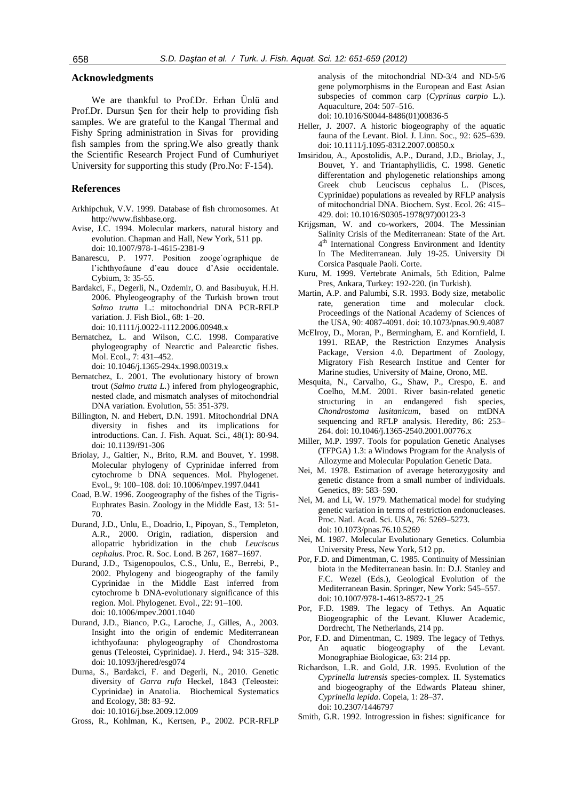# **Acknowledgments**

We are thankful to Prof.Dr. Erhan Ünlü and Prof.Dr. Dursun Şen for their help to providing fish samples. We are grateful to the Kangal Thermal and Fishy Spring administration in Sivas for providing fish samples from the spring.We also greatly thank the Scientific Research Project Fund of Cumhuriyet University for supporting this study (Pro.No: F-154).

#### **References**

- Arkhipchuk, V.V. 1999. Database of fish chromosomes. At http://www.fishbase.org.
- Avise, J.C. 1994. Molecular markers, natural history and evolution. Chapman and Hall, New York, 511 pp. doi: 10.1007/978-1-4615-2381-9
- Banarescu, P. 1977. Position zooge´ographique de l'ichthyofaune d'eau douce d'Asie occidentale. Cybium, 3: 35-55.
- Bardakci, F., Degerli, N., Ozdemir, O. and Basıbuyuk, H.H. 2006. Phyleogeography of the Turkish brown trout *Salmo trutta* L.: mitochondrial DNA PCR-RFLP variation. J. Fish Biol., 68: 1–20. doi: 10.1111/j.0022-1112.2006.00948.x
- Bernatchez, L. and Wilson, C.C. 1998. Comparative phylogeography of Nearctic and Palearctic fishes. Mol. Ecol., 7: 431–452.
	- doi: 10.1046/j.1365-294x.1998.00319.x
- Bernatchez, L. 2001. The evolutionary history of brown trout (*Salmo trutta L.*) infered from phylogeographic, nested clade, and mismatch analyses of mitochondrial DNA variation. Evolution, 55: 351-379.
- Billington, N. and Hebert, D.N. 1991. Mitochondrial DNA diversity in fishes and its implications for introductions. Can. J. Fish. Aquat. Sci., 48(1): 80-94. doi: 10.1139/f91-306
- Briolay, J., Galtier, N., Brito, R.M. and Bouvet, Y. 1998. Molecular phylogeny of Cyprinidae inferred from cytochrome b DNA sequences. Mol. Phylogenet. Evol., 9: 100–108. doi: 10.1006/mpev.1997.0441
- Coad, B.W. 1996. Zoogeography of the fishes of the Tigris-Euphrates Basin. Zoology in the Middle East, 13: 51- 70.
- Durand, J.D., Unlu, E., Doadrio, I., Pipoyan, S., Templeton, A.R., 2000. Origin, radiation, dispersion and allopatric hybridization in the chub *Leuciscus cephalus*. Proc. R. Soc. Lond. B 267, 1687–1697.
- Durand, J.D., Tsigenopoulos, C.S., Unlu, E., Berrebi, P., 2002. Phylogeny and biogeography of the family Cyprinidae in the Middle East inferred from cytochrome b DNA-evolutionary significance of this region. Mol. Phylogenet. Evol., 22: 91–100. doi: 10.1006/mpev.2001.1040
- Durand, J.D., Bianco, P.G., Laroche, J., Gilles, A., 2003. Insight into the origin of endemic Mediterranean ichthyofauna: phylogeography of Chondrostoma genus (Teleostei, Cyprinidae). J. Herd., 94: 315–328. doi: 10.1093/jhered/esg074
- Durna, S., Bardakci, F. and Degerli, N., 2010. Genetic diversity of *Garra rufa* Heckel, 1843 (Teleostei: Cyprinidae) in Anatolia. Biochemical Systematics and Ecology, 38: 83–92. doi: 10.1016/j.bse.2009.12.009

Gross, R., Kohlman, K., Kertsen, P., 2002. PCR-RFLP

analysis of the mitochondrial ND-3/4 and ND-5/6 gene polymorphisms in the European and East Asian subspecies of common carp (*Cyprinus carpio* L.). Aquaculture, 204: 507–516.

doi: 10.1016/S0044-8486(01)00836-5

- Heller, J. 2007. A historic biogeography of the aquatic fauna of the Levant. Biol. J. Linn. Soc., 92: 625–639. doi: 10.1111/j.1095-8312.2007.00850.x
- Imsiridou, A., Apostolidis, A.P., Durand, J.D., Briolay, J., Bouvet, Y. and Triantaphyllidis, C. 1998. Genetic differentation and phylogenetic relationships among Greek chub Leuciscus cephalus L. (Pisces, Cyprinidae) populations as revealed by RFLP analysis of mitochondrial DNA. Biochem. Syst. Ecol. 26: 415– 429. doi: 10.1016/S0305-1978(97)00123-3
- Krijgsman, W. and co-workers, 2004. The Messinian Salinity Crisis of the Mediterranean: State of the Art. 4 th International Congress Environment and Identity In The Mediterranean. July 19-25. University Di Corsica Pasquale Paoli. Corte.
- Kuru, M. 1999. Vertebrate Animals, 5th Edition, Palme Pres, Ankara, Turkey: 192-220. (in Turkish).
- Martin, A.P. and Palumbi, S.R. 1993. Body size, metabolic rate, generation time and molecular clock. Proceedings of the National Academy of Sciences of the USA, 90: 4087-4091. doi: 10.1073/pnas.90.9.4087
- McElroy, D., Moran, P., Bermingham, E. and Kornfield, I. 1991. REAP, the Restriction Enzymes Analysis Package, Version 4.0. Department of Zoology, Migratory Fish Research Institue and Center for Marine studies, University of Maine, Orono, ME.
- Mesquita, N., Carvalho, G., Shaw, P., Crespo, E. and Coelho, M.M. 2001. River basin-related genetic structuring in an endangered fish species, *Chondrostoma lusitanicum*, based on mtDNA sequencing and RFLP analysis. Heredity, 86: 253– 264. doi: 10.1046/j.1365-2540.2001.00776.x
- Miller, M.P. 1997. Tools for population Genetic Analyses (TFPGA) 1.3: a Windows Program for the Analysis of Allozyme and Molecular Population Genetic Data.
- Nei, M. 1978. Estimation of average heterozygosity and genetic distance from a small number of individuals. Genetics, 89: 583–590.
- Nei, M. and Li, W. 1979. Mathematical model for studying genetic variation in terms of restriction endonucleases. Proc. Natl. Acad. Sci. USA, 76: 5269–5273. doi: 10.1073/pnas.76.10.5269
- Nei, M. 1987. Molecular Evolutionary Genetics. Columbia University Press, New York, 512 pp.
- Por, F.D. and Dimentman, C. 1985. Continuity of Messinian biota in the Mediterranean basin. In: D.J. Stanley and F.C. Wezel (Eds.), Geological Evolution of the Mediterranean Basin. Springer, New York: 545–557. doi: 10.1007/978-1-4613-8572-1\_25
- Por, F.D. 1989. The legacy of Tethys. An Aquatic Biogeographic of the Levant. Kluwer Academic, Dordrecht, The Netherlands, 214 pp.
- Por, F.D. and Dimentman, C. 1989. The legacy of Tethys. An aquatic biogeography of the Levant. Monographiae Biologicae, 63: 214 pp.
- Richardson, L.R. and Gold, J.R. 1995. Evolution of the *Cyprinella lutrensis* species-complex. II. Systematics and biogeography of the Edwards Plateau shiner, *Cyprinella lepida*. Copeia, 1: 28–37. doi: 10.2307/1446797
- Smith, G.R. 1992. Introgression in fishes: significance for